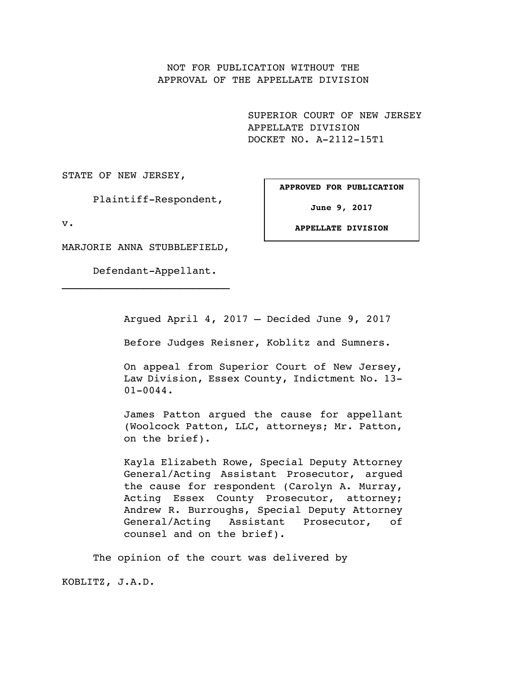NOT FOR PUBLICATION WITHOUT THE APPROVAL OF THE APPELLATE DIVISION

> SUPERIOR COURT OF NEW JERSEY APPELLATE DIVISION DOCKET NO. A-2112-15T1

STATE OF NEW JERSEY,

Plaintiff-Respondent,

**APPROVED FOR PUBLICATION**

**June 9, 2017**

v.

**APPELLATE DIVISION**

MARJORIE ANNA STUBBLEFIELD,

Defendant-Appellant.

Argued April 4, 2017 — Decided June 9, 2017

Before Judges Reisner, Koblitz and Sumners.

On appeal from Superior Court of New Jersey, Law Division, Essex County, Indictment No. 13- 01-0044.

James Patton argued the cause for appellant (Woolcock Patton, LLC, attorneys; Mr. Patton, on the brief).

Kayla Elizabeth Rowe, Special Deputy Attorney General/Acting Assistant Prosecutor, argued the cause for respondent (Carolyn A. Murray, Acting Essex County Prosecutor, attorney; Andrew R. Burroughs, Special Deputy Attorney General/Acting Assistant Prosecutor, of counsel and on the brief).

The opinion of the court was delivered by

KOBLITZ, J.A.D.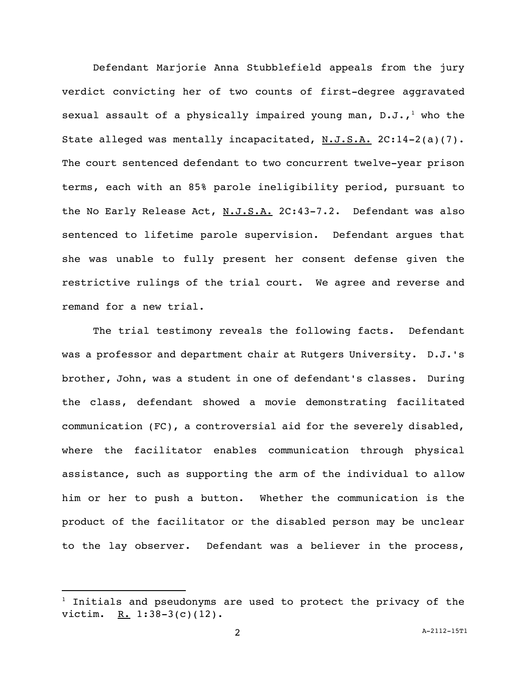Defendant Marjorie Anna Stubblefield appeals from the jury verdict convicting her of two counts of first-degree aggravated sexual assault of a physically impaired young man,  $D.J.J.$ , who the State alleged was mentally incapacitated,  $N.J.S.A.$  2C:14-2(a)(7). The court sentenced defendant to two concurrent twelve-year prison terms, each with an 85% parole ineligibility period, pursuant to the No Early Release Act, N.J.S.A. 2C:43-7.2. Defendant was also sentenced to lifetime parole supervision. Defendant argues that she was unable to fully present her consent defense given the restrictive rulings of the trial court. We agree and reverse and remand for a new trial.

The trial testimony reveals the following facts. Defendant was a professor and department chair at Rutgers University. D.J.'s brother, John, was a student in one of defendant's classes. During the class, defendant showed a movie demonstrating facilitated communication (FC), a controversial aid for the severely disabled, where the facilitator enables communication through physical assistance, such as supporting the arm of the individual to allow him or her to push a button. Whether the communication is the product of the facilitator or the disabled person may be unclear to the lay observer. Defendant was a believer in the process,

 $1$  Initials and pseudonyms are used to protect the privacy of the victim. R. 1:38-3(c)(12).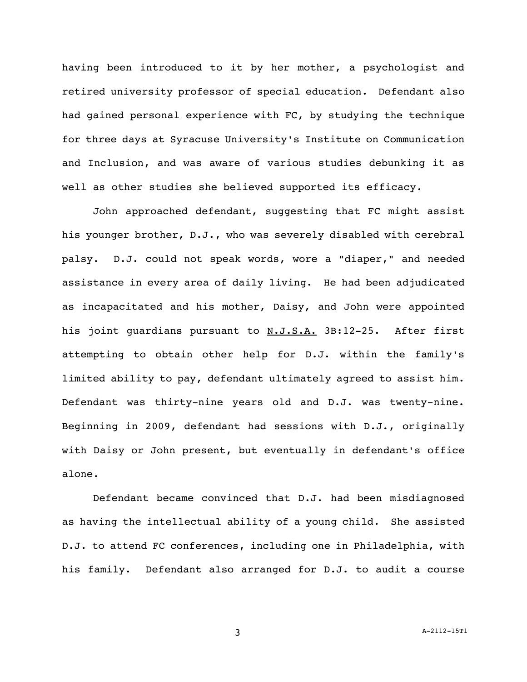having been introduced to it by her mother, a psychologist and retired university professor of special education. Defendant also had gained personal experience with FC, by studying the technique for three days at Syracuse University's Institute on Communication and Inclusion, and was aware of various studies debunking it as well as other studies she believed supported its efficacy.

John approached defendant, suggesting that FC might assist his younger brother, D.J., who was severely disabled with cerebral palsy. D.J. could not speak words, wore a "diaper," and needed assistance in every area of daily living. He had been adjudicated as incapacitated and his mother, Daisy, and John were appointed his joint guardians pursuant to N.J.S.A. 3B:12-25. After first attempting to obtain other help for D.J. within the family's limited ability to pay, defendant ultimately agreed to assist him. Defendant was thirty-nine years old and D.J. was twenty-nine. Beginning in 2009, defendant had sessions with D.J., originally with Daisy or John present, but eventually in defendant's office alone.

Defendant became convinced that D.J. had been misdiagnosed as having the intellectual ability of a young child. She assisted D.J. to attend FC conferences, including one in Philadelphia, with his family. Defendant also arranged for D.J. to audit a course

3 A-2112-15T1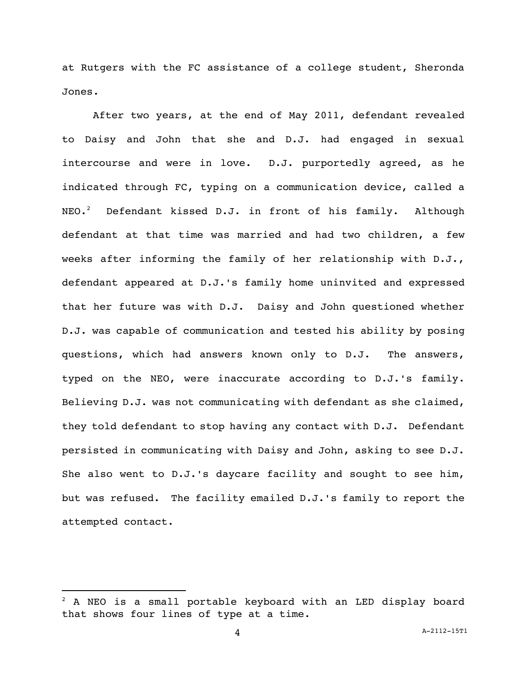at Rutgers with the FC assistance of a college student, Sheronda Jones.

After two years, at the end of May 2011, defendant revealed to Daisy and John that she and D.J. had engaged in sexual intercourse and were in love. D.J. purportedly agreed, as he indicated through FC, typing on a communication device, called a  $NEO.$ <sup>2</sup> Defendant kissed D.J. in front of his family. Although defendant at that time was married and had two children, a few weeks after informing the family of her relationship with D.J., defendant appeared at D.J.'s family home uninvited and expressed that her future was with D.J. Daisy and John questioned whether D.J. was capable of communication and tested his ability by posing questions, which had answers known only to D.J. The answers, typed on the NEO, were inaccurate according to D.J.'s family. Believing D.J. was not communicating with defendant as she claimed, they told defendant to stop having any contact with D.J. Defendant persisted in communicating with Daisy and John, asking to see D.J. She also went to D.J.'s daycare facility and sought to see him, but was refused. The facility emailed D.J.'s family to report the attempted contact.

 $2$  A NEO is a small portable keyboard with an LED display board that shows four lines of type at a time.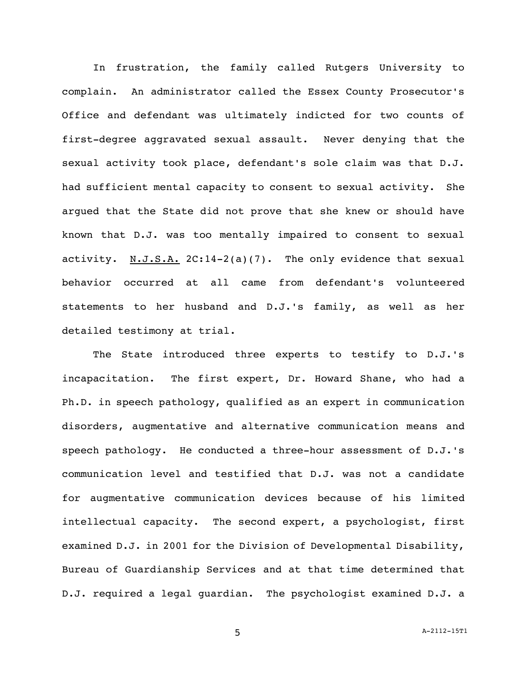In frustration, the family called Rutgers University to complain. An administrator called the Essex County Prosecutor's Office and defendant was ultimately indicted for two counts of first-degree aggravated sexual assault. Never denying that the sexual activity took place, defendant's sole claim was that D.J. had sufficient mental capacity to consent to sexual activity. She argued that the State did not prove that she knew or should have known that D.J. was too mentally impaired to consent to sexual activity. N.J.S.A. 2C:14-2(a)(7). The only evidence that sexual behavior occurred at all came from defendant's volunteered statements to her husband and D.J.'s family, as well as her detailed testimony at trial.

The State introduced three experts to testify to D.J.'s incapacitation. The first expert, Dr. Howard Shane, who had a Ph.D. in speech pathology, qualified as an expert in communication disorders, augmentative and alternative communication means and speech pathology. He conducted a three-hour assessment of D.J.'s communication level and testified that D.J. was not a candidate for augmentative communication devices because of his limited intellectual capacity. The second expert, a psychologist, first examined D.J. in 2001 for the Division of Developmental Disability, Bureau of Guardianship Services and at that time determined that D.J. required a legal guardian. The psychologist examined D.J. a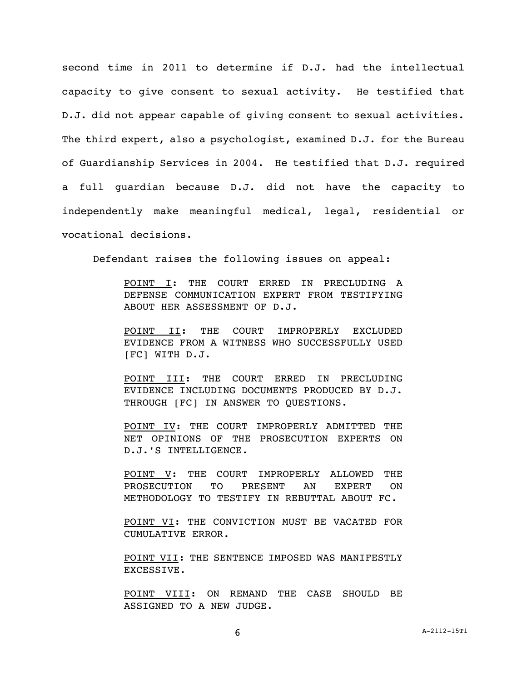second time in 2011 to determine if D.J. had the intellectual capacity to give consent to sexual activity. He testified that D.J. did not appear capable of giving consent to sexual activities. The third expert, also a psychologist, examined D.J. for the Bureau of Guardianship Services in 2004. He testified that D.J. required a full guardian because D.J. did not have the capacity to independently make meaningful medical, legal, residential or vocational decisions.

Defendant raises the following issues on appeal:

POINT I: THE COURT ERRED IN PRECLUDING A DEFENSE COMMUNICATION EXPERT FROM TESTIFYING ABOUT HER ASSESSMENT OF D.J.

POINT II: THE COURT IMPROPERLY EXCLUDED EVIDENCE FROM A WITNESS WHO SUCCESSFULLY USED [FC] WITH D.J.

POINT III: THE COURT ERRED IN PRECLUDING EVIDENCE INCLUDING DOCUMENTS PRODUCED BY D.J. THROUGH [FC] IN ANSWER TO QUESTIONS.

POINT IV: THE COURT IMPROPERLY ADMITTED THE NET OPINIONS OF THE PROSECUTION EXPERTS ON D.J.'S INTELLIGENCE.

POINT V: THE COURT IMPROPERLY ALLOWED THE PROSECUTION TO PRESENT AN EXPERT ON METHODOLOGY TO TESTIFY IN REBUTTAL ABOUT FC.

POINT VI: THE CONVICTION MUST BE VACATED FOR CUMULATIVE ERROR.

POINT VII: THE SENTENCE IMPOSED WAS MANIFESTLY EXCESSIVE.

POINT VIII: ON REMAND THE CASE SHOULD BE ASSIGNED TO A NEW JUDGE.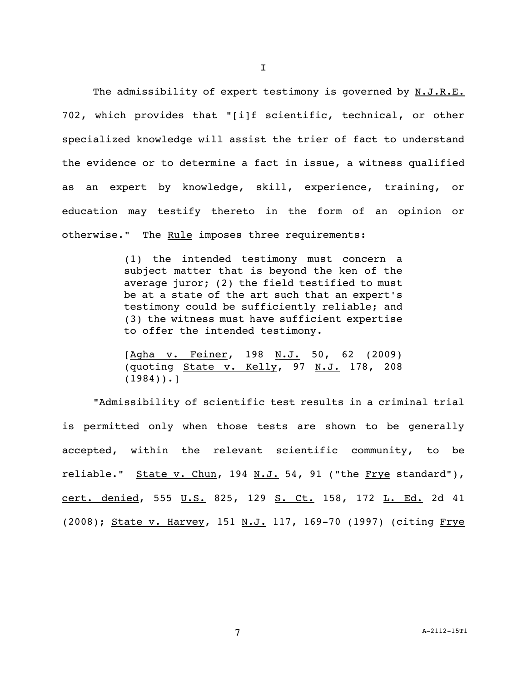The admissibility of expert testimony is governed by N.J.R.E. 702, which provides that "[i]f scientific, technical, or other specialized knowledge will assist the trier of fact to understand the evidence or to determine a fact in issue, a witness qualified as an expert by knowledge, skill, experience, training, or education may testify thereto in the form of an opinion or otherwise." The Rule imposes three requirements:

> (1) the intended testimony must concern a subject matter that is beyond the ken of the average juror; (2) the field testified to must be at a state of the art such that an expert's testimony could be sufficiently reliable; and (3) the witness must have sufficient expertise to offer the intended testimony.

> [Agha v. Feiner, 198 N.J. 50, 62 (2009) (quoting  $State$  v. Kelly, 97 N.J. 178, 208  $(1984)$ .]

"Admissibility of scientific test results in a criminal trial is permitted only when those tests are shown to be generally accepted, within the relevant scientific community, to be reliable." State v. Chun, 194 N.J. 54, 91 ("the Frye standard"), cert. denied, 555 U.S. 825, 129 S. Ct. 158, 172 L. Ed. 2d 41 (2008); State v. Harvey, 151 N.J. 117, 169-70 (1997) (citing Frye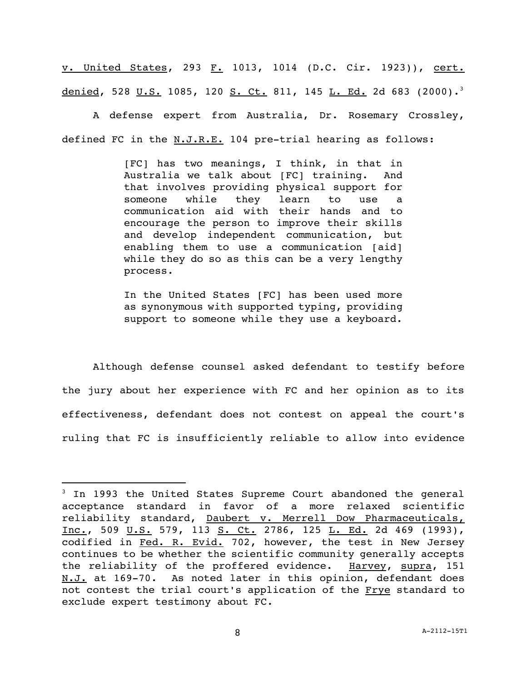v. United States, 293 F. 1013, 1014 (D.C. Cir. 1923)), cert. denied, 528 U.S. 1085, 120 S. Ct. 811, 145 L. Ed. 2d 683 (2000).<sup>3</sup>

A defense expert from Australia, Dr. Rosemary Crossley, defined FC in the N.J.R.E. 104 pre-trial hearing as follows:

> [FC] has two meanings, I think, in that in Australia we talk about [FC] training. And that involves providing physical support for someone while they learn to use a communication aid with their hands and to encourage the person to improve their skills and develop independent communication, but enabling them to use a communication [aid] while they do so as this can be a very lengthy process.

> In the United States [FC] has been used more as synonymous with supported typing, providing support to someone while they use a keyboard.

Although defense counsel asked defendant to testify before the jury about her experience with FC and her opinion as to its effectiveness, defendant does not contest on appeal the court's ruling that FC is insufficiently reliable to allow into evidence

<sup>&</sup>lt;sup>3</sup> In 1993 the United States Supreme Court abandoned the general acceptance standard in favor of a more relaxed scientific reliability standard, Daubert v. Merrell Dow Pharmaceuticals, Inc., 509 U.S. 579, 113 S. Ct. 2786, 125 L. Ed. 2d 469 (1993), codified in Fed. R. Evid. 702, however, the test in New Jersey continues to be whether the scientific community generally accepts the reliability of the proffered evidence. Harvey, supra, 151 N.J. at 169-70. As noted later in this opinion, defendant does not contest the trial court's application of the Frye standard to exclude expert testimony about FC.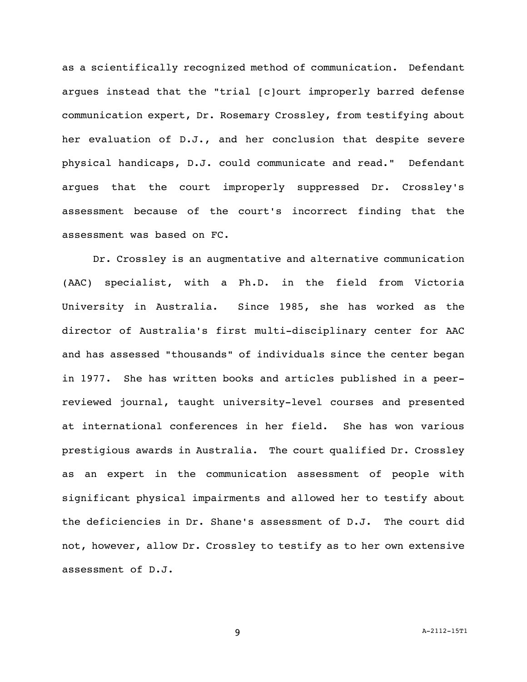as a scientifically recognized method of communication. Defendant argues instead that the "trial [c]ourt improperly barred defense communication expert, Dr. Rosemary Crossley, from testifying about her evaluation of D.J., and her conclusion that despite severe physical handicaps, D.J. could communicate and read." Defendant argues that the court improperly suppressed Dr. Crossley's assessment because of the court's incorrect finding that the assessment was based on FC.

Dr. Crossley is an augmentative and alternative communication (AAC) specialist, with a Ph.D. in the field from Victoria University in Australia. Since 1985, she has worked as the director of Australia's first multi-disciplinary center for AAC and has assessed "thousands" of individuals since the center began in 1977. She has written books and articles published in a peerreviewed journal, taught university-level courses and presented at international conferences in her field. She has won various prestigious awards in Australia. The court qualified Dr. Crossley as an expert in the communication assessment of people with significant physical impairments and allowed her to testify about the deficiencies in Dr. Shane's assessment of D.J. The court did not, however, allow Dr. Crossley to testify as to her own extensive assessment of D.J.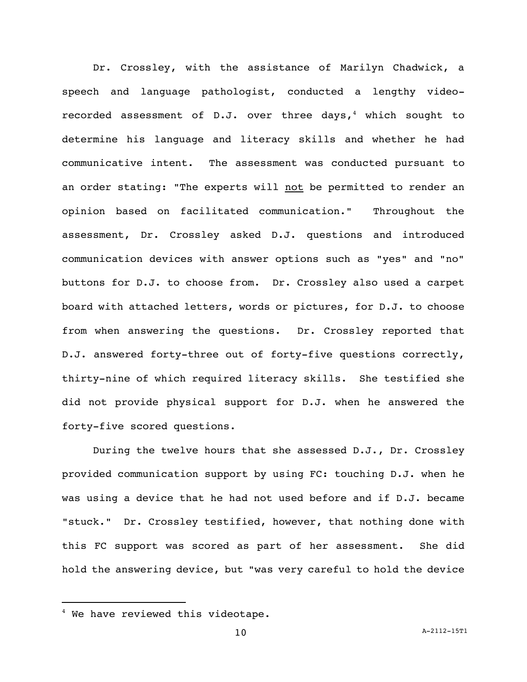Dr. Crossley, with the assistance of Marilyn Chadwick, a speech and language pathologist, conducted a lengthy videorecorded assessment of  $D.J.$  over three days,<sup>4</sup> which sought to determine his language and literacy skills and whether he had communicative intent. The assessment was conducted pursuant to an order stating: "The experts will not be permitted to render an opinion based on facilitated communication." Throughout the assessment, Dr. Crossley asked D.J. questions and introduced communication devices with answer options such as "yes" and "no" buttons for D.J. to choose from. Dr. Crossley also used a carpet board with attached letters, words or pictures, for D.J. to choose from when answering the questions. Dr. Crossley reported that D.J. answered forty-three out of forty-five questions correctly, thirty-nine of which required literacy skills. She testified she did not provide physical support for D.J. when he answered the forty-five scored questions.

During the twelve hours that she assessed D.J., Dr. Crossley provided communication support by using FC: touching D.J. when he was using a device that he had not used before and if D.J. became "stuck." Dr. Crossley testified, however, that nothing done with this FC support was scored as part of her assessment. She did hold the answering device, but "was very careful to hold the device

<sup>&</sup>lt;sup>4</sup> We have reviewed this videotape.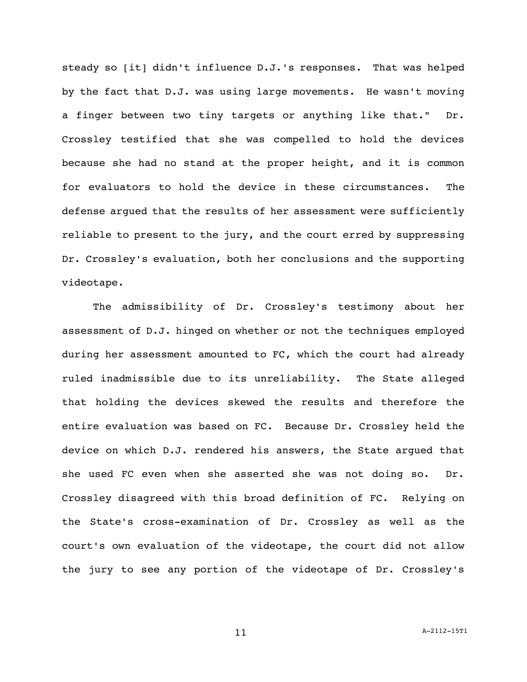steady so [it] didn't influence D.J.'s responses. That was helped by the fact that D.J. was using large movements. He wasn't moving a finger between two tiny targets or anything like that." Dr. Crossley testified that she was compelled to hold the devices because she had no stand at the proper height, and it is common for evaluators to hold the device in these circumstances. The defense argued that the results of her assessment were sufficiently reliable to present to the jury, and the court erred by suppressing Dr. Crossley's evaluation, both her conclusions and the supporting videotape.

The admissibility of Dr. Crossley's testimony about her assessment of D.J. hinged on whether or not the techniques employed during her assessment amounted to FC, which the court had already ruled inadmissible due to its unreliability. The State alleged that holding the devices skewed the results and therefore the entire evaluation was based on FC. Because Dr. Crossley held the device on which D.J. rendered his answers, the State argued that she used FC even when she asserted she was not doing so. Dr. Crossley disagreed with this broad definition of FC. Relying on the State's cross-examination of Dr. Crossley as well as the court's own evaluation of the videotape, the court did not allow the jury to see any portion of the videotape of Dr. Crossley's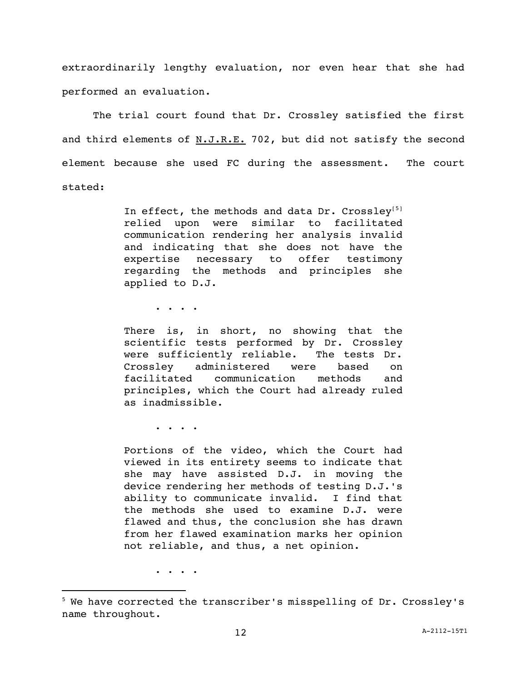extraordinarily lengthy evaluation, nor even hear that she had performed an evaluation.

The trial court found that Dr. Crossley satisfied the first and third elements of N.J.R.E. 702, but did not satisfy the second element because she used FC during the assessment. The court stated:

> In effect, the methods and data Dr. Crossley<sup>[5]</sup> relied upon were similar to facilitated communication rendering her analysis invalid and indicating that she does not have the expertise necessary to offer testimony regarding the methods and principles she applied to D.J.

> > . . . .

There is, in short, no showing that the scientific tests performed by Dr. Crossley were sufficiently reliable. The tests Dr. Crossley administered were based on facilitated communication methods and principles, which the Court had already ruled as inadmissible.

. . . .

Portions of the video, which the Court had viewed in its entirety seems to indicate that she may have assisted D.J. in moving the device rendering her methods of testing D.J.'s ability to communicate invalid. I find that the methods she used to examine D.J. were flawed and thus, the conclusion she has drawn from her flawed examination marks her opinion not reliable, and thus, a net opinion.

. . . .

 $^5$  We have corrected the transcriber's misspelling of Dr. Crossley's name throughout.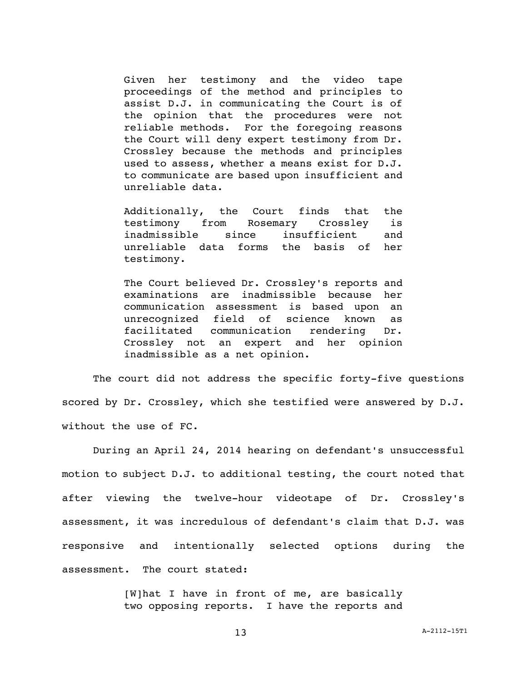Given her testimony and the video tape proceedings of the method and principles to assist D.J. in communicating the Court is of the opinion that the procedures were not reliable methods. For the foregoing reasons the Court will deny expert testimony from Dr. Crossley because the methods and principles used to assess, whether a means exist for D.J. to communicate are based upon insufficient and unreliable data.

Additionally, the Court finds that the testimony from Rosemary Crossley is inadmissible since insufficient and unreliable data forms the basis of her testimony.

The Court believed Dr. Crossley's reports and examinations are inadmissible because her communication assessment is based upon an unrecognized field of science known as facilitated communication rendering Dr. Crossley not an expert and her opinion inadmissible as a net opinion.

The court did not address the specific forty-five questions scored by Dr. Crossley, which she testified were answered by D.J. without the use of FC.

During an April 24, 2014 hearing on defendant's unsuccessful motion to subject D.J. to additional testing, the court noted that after viewing the twelve-hour videotape of Dr. Crossley's assessment, it was incredulous of defendant's claim that D.J. was responsive and intentionally selected options during the assessment. The court stated:

> [W]hat I have in front of me, are basically two opposing reports. I have the reports and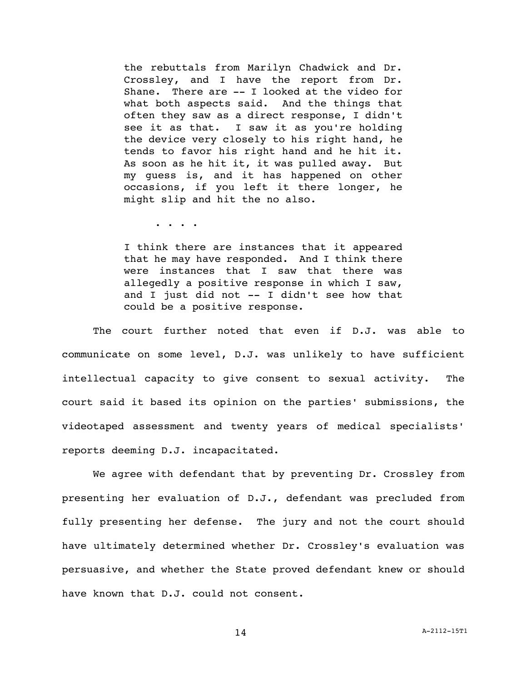the rebuttals from Marilyn Chadwick and Dr. Crossley, and I have the report from Dr. Shane. There are -- I looked at the video for what both aspects said. And the things that often they saw as a direct response, I didn't see it as that. I saw it as you're holding the device very closely to his right hand, he tends to favor his right hand and he hit it. As soon as he hit it, it was pulled away. But my guess is, and it has happened on other occasions, if you left it there longer, he might slip and hit the no also.

. . . .

I think there are instances that it appeared that he may have responded. And I think there were instances that I saw that there was allegedly a positive response in which I saw, and I just did not -- I didn't see how that could be a positive response.

The court further noted that even if D.J. was able to communicate on some level, D.J. was unlikely to have sufficient intellectual capacity to give consent to sexual activity. The court said it based its opinion on the parties' submissions, the videotaped assessment and twenty years of medical specialists' reports deeming D.J. incapacitated.

We agree with defendant that by preventing Dr. Crossley from presenting her evaluation of D.J., defendant was precluded from fully presenting her defense. The jury and not the court should have ultimately determined whether Dr. Crossley's evaluation was persuasive, and whether the State proved defendant knew or should have known that D.J. could not consent.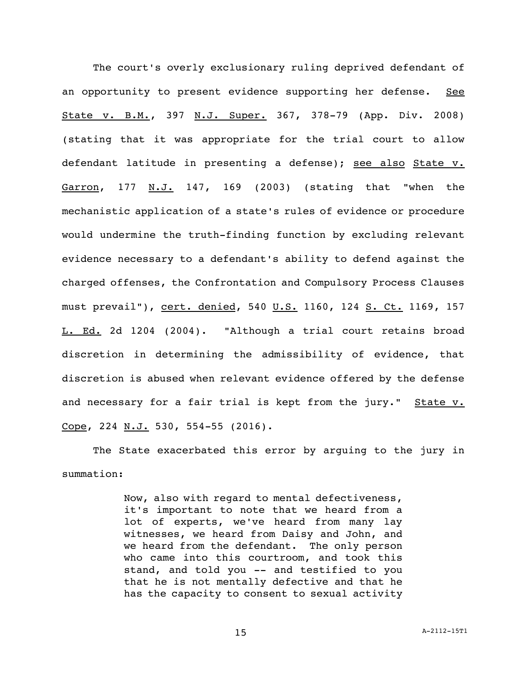The court's overly exclusionary ruling deprived defendant of an opportunity to present evidence supporting her defense. See State v. B.M., 397 N.J. Super. 367, 378-79 (App. Div. 2008) (stating that it was appropriate for the trial court to allow defendant latitude in presenting a defense); see also State v. Garron, 177 N.J. 147, 169 (2003) (stating that "when the mechanistic application of a state's rules of evidence or procedure would undermine the truth-finding function by excluding relevant evidence necessary to a defendant's ability to defend against the charged offenses, the Confrontation and Compulsory Process Clauses must prevail"), cert. denied, 540 U.S. 1160, 124 S. Ct. 1169, 157 L. Ed. 2d 1204 (2004). "Although a trial court retains broad discretion in determining the admissibility of evidence, that discretion is abused when relevant evidence offered by the defense and necessary for a fair trial is kept from the jury." State v. Cope, 224 N.J. 530, 554-55 (2016).

The State exacerbated this error by arguing to the jury in summation:

> Now, also with regard to mental defectiveness, it's important to note that we heard from a lot of experts, we've heard from many lay witnesses, we heard from Daisy and John, and we heard from the defendant. The only person who came into this courtroom, and took this stand, and told you -- and testified to you that he is not mentally defective and that he has the capacity to consent to sexual activity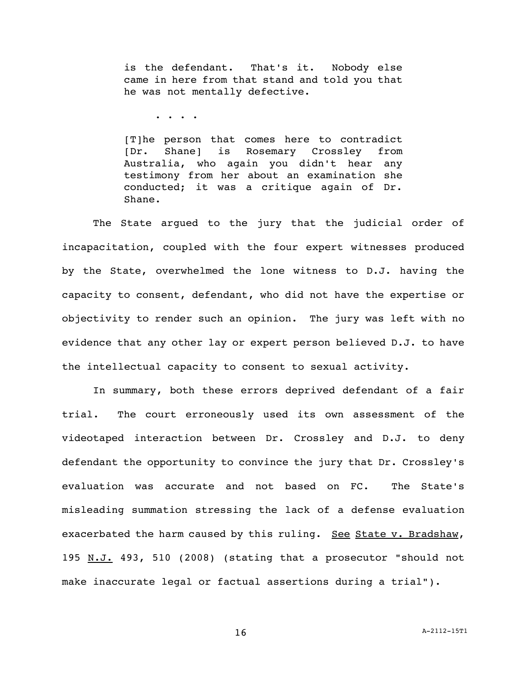is the defendant. That's it. Nobody else came in here from that stand and told you that he was not mentally defective.

. . . .

[T]he person that comes here to contradict [Dr. Shane] is Rosemary Crossley from Australia, who again you didn't hear any testimony from her about an examination she conducted; it was a critique again of Dr. Shane.

The State argued to the jury that the judicial order of incapacitation, coupled with the four expert witnesses produced by the State, overwhelmed the lone witness to D.J. having the capacity to consent, defendant, who did not have the expertise or objectivity to render such an opinion. The jury was left with no evidence that any other lay or expert person believed D.J. to have the intellectual capacity to consent to sexual activity.

In summary, both these errors deprived defendant of a fair trial. The court erroneously used its own assessment of the videotaped interaction between Dr. Crossley and D.J. to deny defendant the opportunity to convince the jury that Dr. Crossley's evaluation was accurate and not based on FC. The State's misleading summation stressing the lack of a defense evaluation exacerbated the harm caused by this ruling. See State v. Bradshaw, 195 N.J. 493, 510 (2008) (stating that a prosecutor "should not make inaccurate legal or factual assertions during a trial").

16  $A-2112-15T1$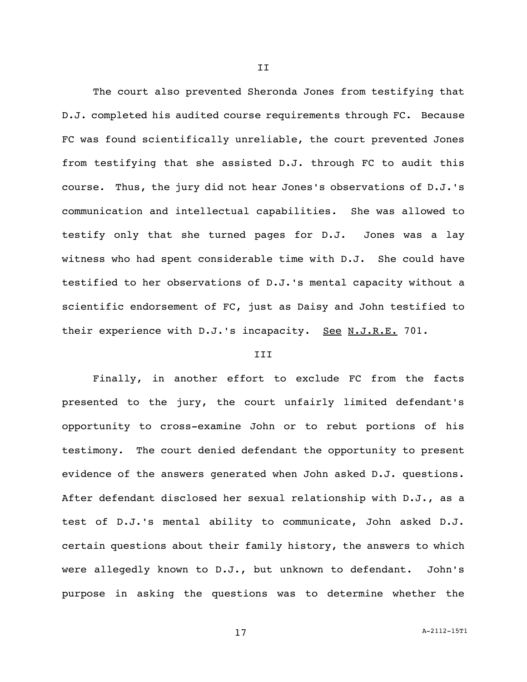The court also prevented Sheronda Jones from testifying that D.J. completed his audited course requirements through FC. Because FC was found scientifically unreliable, the court prevented Jones from testifying that she assisted D.J. through FC to audit this course. Thus, the jury did not hear Jones's observations of D.J.'s communication and intellectual capabilities. She was allowed to testify only that she turned pages for D.J. Jones was a lay witness who had spent considerable time with D.J. She could have testified to her observations of D.J.'s mental capacity without a scientific endorsement of FC, just as Daisy and John testified to their experience with D.J.'s incapacity. See N.J.R.E. 701.

## **III**

Finally, in another effort to exclude FC from the facts presented to the jury, the court unfairly limited defendant's opportunity to cross-examine John or to rebut portions of his testimony. The court denied defendant the opportunity to present evidence of the answers generated when John asked D.J. questions. After defendant disclosed her sexual relationship with D.J., as a test of D.J.'s mental ability to communicate, John asked D.J. certain questions about their family history, the answers to which were allegedly known to D.J., but unknown to defendant. John's purpose in asking the questions was to determine whether the

II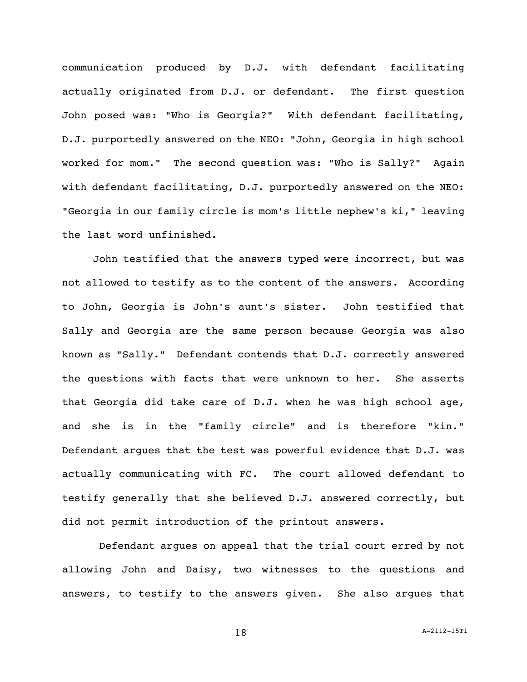communication produced by D.J. with defendant facilitating actually originated from D.J. or defendant. The first question John posed was: "Who is Georgia?" With defendant facilitating, D.J. purportedly answered on the NEO: "John, Georgia in high school worked for mom." The second question was: "Who is Sally?" Again with defendant facilitating, D.J. purportedly answered on the NEO: "Georgia in our family circle is mom's little nephew's ki," leaving the last word unfinished.

John testified that the answers typed were incorrect, but was not allowed to testify as to the content of the answers. According to John, Georgia is John's aunt's sister. John testified that Sally and Georgia are the same person because Georgia was also known as "Sally." Defendant contends that D.J. correctly answered the questions with facts that were unknown to her. She asserts that Georgia did take care of D.J. when he was high school age, and she is in the "family circle" and is therefore "kin." Defendant argues that the test was powerful evidence that D.J. was actually communicating with FC. The court allowed defendant to testify generally that she believed D.J. answered correctly, but did not permit introduction of the printout answers.

Defendant argues on appeal that the trial court erred by not allowing John and Daisy, two witnesses to the questions and answers, to testify to the answers given. She also argues that

18 A-2112-15T1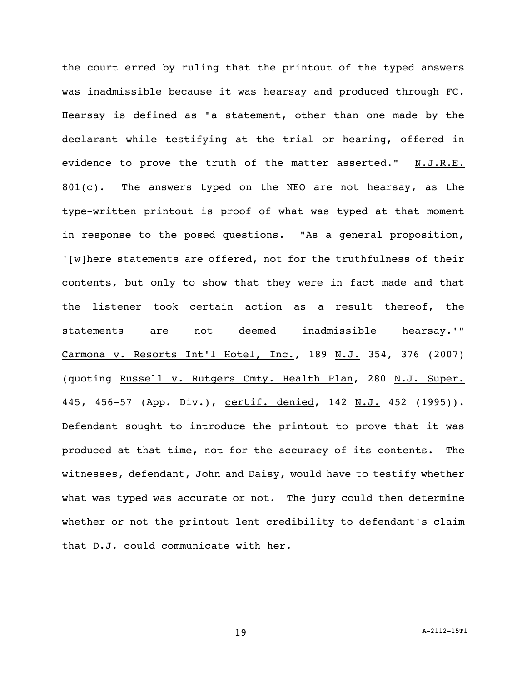the court erred by ruling that the printout of the typed answers was inadmissible because it was hearsay and produced through FC. Hearsay is defined as "a statement, other than one made by the declarant while testifying at the trial or hearing, offered in evidence to prove the truth of the matter asserted." N.J.R.E. 801(c). The answers typed on the NEO are not hearsay, as the type-written printout is proof of what was typed at that moment in response to the posed questions. "As a general proposition, '[w]here statements are offered, not for the truthfulness of their contents, but only to show that they were in fact made and that the listener took certain action as a result thereof, the statements are not deemed inadmissible hearsay.'" Carmona v. Resorts Int'l Hotel, Inc., 189 N.J. 354, 376 (2007) (quoting Russell v. Rutgers Cmty. Health Plan, 280 N.J. Super. 445, 456-57 (App. Div.), certif. denied, 142 N.J. 452 (1995)). Defendant sought to introduce the printout to prove that it was produced at that time, not for the accuracy of its contents. The witnesses, defendant, John and Daisy, would have to testify whether what was typed was accurate or not. The jury could then determine whether or not the printout lent credibility to defendant's claim that D.J. could communicate with her.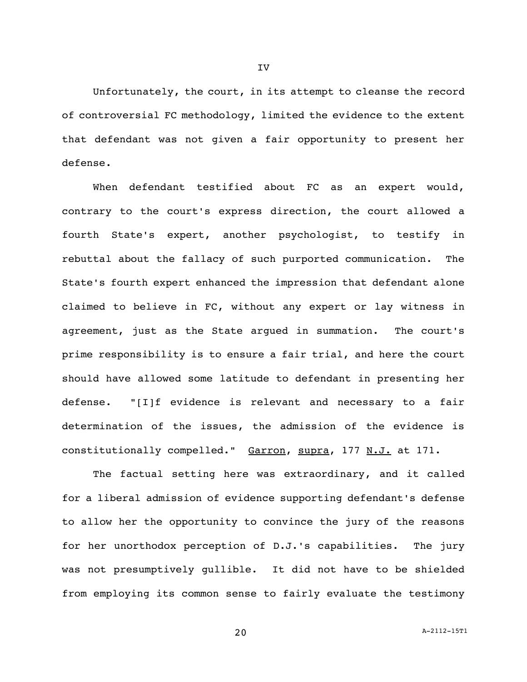Unfortunately, the court, in its attempt to cleanse the record of controversial FC methodology, limited the evidence to the extent that defendant was not given a fair opportunity to present her defense.

When defendant testified about FC as an expert would, contrary to the court's express direction, the court allowed a fourth State's expert, another psychologist, to testify in rebuttal about the fallacy of such purported communication. The State's fourth expert enhanced the impression that defendant alone claimed to believe in FC, without any expert or lay witness in agreement, just as the State argued in summation. The court's prime responsibility is to ensure a fair trial, and here the court should have allowed some latitude to defendant in presenting her defense. "[I]f evidence is relevant and necessary to a fair determination of the issues, the admission of the evidence is constitutionally compelled." Garron, supra, 177 N.J. at 171.

The factual setting here was extraordinary, and it called for a liberal admission of evidence supporting defendant's defense to allow her the opportunity to convince the jury of the reasons for her unorthodox perception of D.J.'s capabilities. The jury was not presumptively gullible. It did not have to be shielded from employing its common sense to fairly evaluate the testimony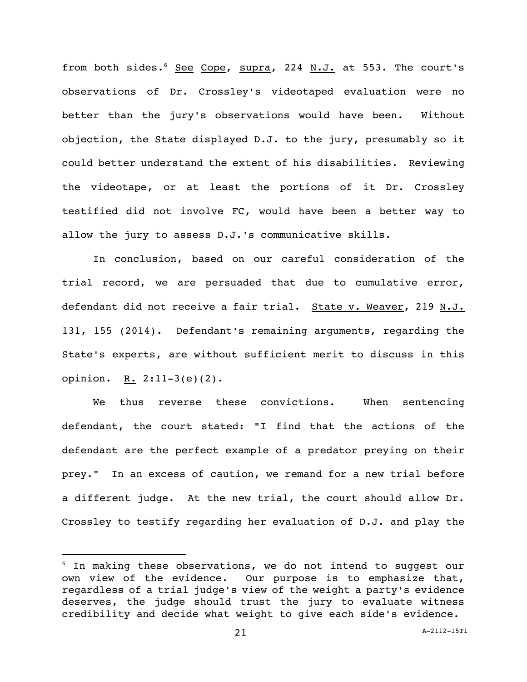from both sides.<sup>6</sup> See Cope, supra, 224 N.J. at 553. The court's observations of Dr. Crossley's videotaped evaluation were no better than the jury's observations would have been. Without objection, the State displayed D.J. to the jury, presumably so it could better understand the extent of his disabilities. Reviewing the videotape, or at least the portions of it Dr. Crossley testified did not involve FC, would have been a better way to allow the jury to assess D.J.'s communicative skills.

In conclusion, based on our careful consideration of the trial record, we are persuaded that due to cumulative error, defendant did not receive a fair trial. State v. Weaver, 219 N.J. 131, 155 (2014). Defendant's remaining arguments, regarding the State's experts, are without sufficient merit to discuss in this opinion. R.  $2:11-3(e)(2)$ .

We thus reverse these convictions. When sentencing defendant, the court stated: "I find that the actions of the defendant are the perfect example of a predator preying on their prey." In an excess of caution, we remand for a new trial before a different judge. At the new trial, the court should allow Dr. Crossley to testify regarding her evaluation of D.J. and play the

 $6$  In making these observations, we do not intend to suggest our own view of the evidence. Our purpose is to emphasize that, regardless of a trial judge's view of the weight a party's evidence deserves, the judge should trust the jury to evaluate witness credibility and decide what weight to give each side's evidence.